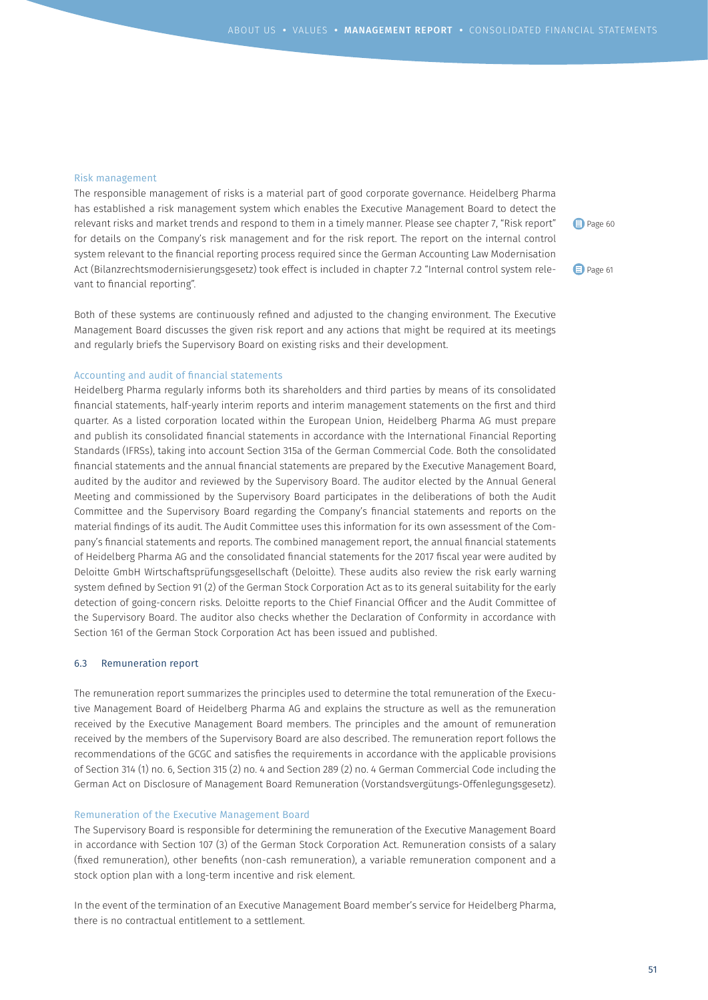## Risk management

The responsible management of risks is a material part of good corporate governance. Heidelberg Pharma has established a risk management system which enables the Executive Management Board to detect the relevant risks and market trends and respond to them in a timely manner. Please see chapter 7, "Risk report" for details on the Company's risk management and for the risk report. The report on the internal control system relevant to the financial reporting process required since the German Accounting Law Modernisation Act (Bilanzrechtsmodernisierungsgesetz) took effect is included in chapter 7.2 "Internal control system relevant to financial reporting".

Page 60

Page 61

Both of these systems are continuously refined and adjusted to the changing environment. The Executive Management Board discusses the given risk report and any actions that might be required at its meetings and regularly briefs the Supervisory Board on existing risks and their development.

# Accounting and audit of financial statements

Heidelberg Pharma regularly informs both its shareholders and third parties by means of its consolidated financial statements, half-yearly interim reports and interim management statements on the first and third quarter. As a listed corporation located within the European Union, Heidelberg Pharma AG must prepare and publish its consolidated financial statements in accordance with the International Financial Reporting Standards (IFRSs), taking into account Section 315a of the German Commercial Code. Both the consolidated financial statements and the annual financial statements are prepared by the Executive Management Board, audited by the auditor and reviewed by the Supervisory Board. The auditor elected by the Annual General Meeting and commissioned by the Supervisory Board participates in the deliberations of both the Audit Committee and the Supervisory Board regarding the Company's financial statements and reports on the material findings of its audit. The Audit Committee uses this information for its own assessment of the Company's financial statements and reports. The combined management report, the annual financial statements of Heidelberg Pharma AG and the consolidated financial statements for the 2017 fiscal year were audited by Deloitte GmbH Wirtschaftsprüfungsgesellschaft (Deloitte). These audits also review the risk early warning system defined by Section 91 (2) of the German Stock Corporation Act as to its general suitability for the early detection of going-concern risks. Deloitte reports to the Chief Financial Officer and the Audit Committee of the Supervisory Board. The auditor also checks whether the Declaration of Conformity in accordance with Section 161 of the German Stock Corporation Act has been issued and published.

# 6.3 Remuneration report

The remuneration report summarizes the principles used to determine the total remuneration of the Executive Management Board of Heidelberg Pharma AG and explains the structure as well as the remuneration received by the Executive Management Board members. The principles and the amount of remuneration received by the members of the Supervisory Board are also described. The remuneration report follows the recommendations of the GCGC and satisfies the requirements in accordance with the applicable provisions of Section 314 (1) no. 6, Section 315 (2) no. 4 and Section 289 (2) no. 4 German Commercial Code including the German Act on Disclosure of Management Board Remuneration (Vorstandsvergütungs-Offenlegungsgesetz).

## Remuneration of the Executive Management Board

The Supervisory Board is responsible for determining the remuneration of the Executive Management Board in accordance with Section 107 (3) of the German Stock Corporation Act. Remuneration consists of a salary (fixed remuneration), other benefits (non-cash remuneration), a variable remuneration component and a stock option plan with a long-term incentive and risk element.

In the event of the termination of an Executive Management Board member's service for Heidelberg Pharma, there is no contractual entitlement to a settlement.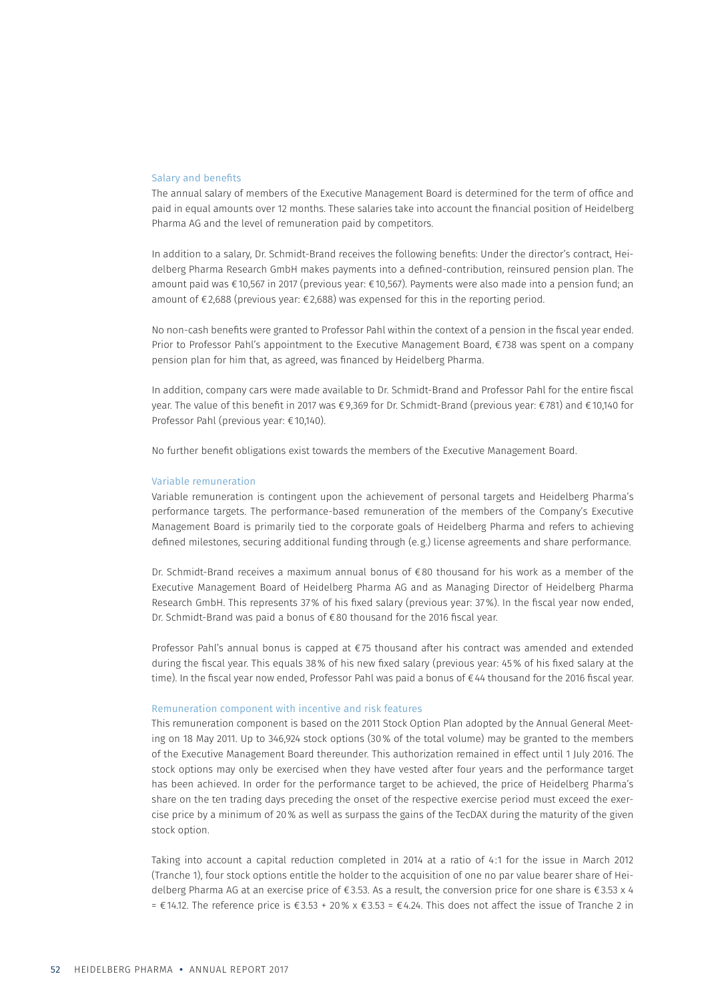## Salary and benefits

The annual salary of members of the Executive Management Board is determined for the term of office and paid in equal amounts over 12 months. These salaries take into account the financial position of Heidelberg Pharma AG and the level of remuneration paid by competitors.

In addition to a salary, Dr. Schmidt-Brand receives the following benefits: Under the director's contract, Heidelberg Pharma Research GmbH makes payments into a defined-contribution, reinsured pension plan. The amount paid was €10,567 in 2017 (previous year: €10,567). Payments were also made into a pension fund; an amount of €2,688 (previous year: €2,688) was expensed for this in the reporting period.

No non-cash benefits were granted to Professor Pahl within the context of a pension in the fiscal year ended. Prior to Professor Pahl's appointment to the Executive Management Board, €738 was spent on a company pension plan for him that, as agreed, was financed by Heidelberg Pharma.

In addition, company cars were made available to Dr. Schmidt-Brand and Professor Pahl for the entire fiscal year. The value of this benefit in 2017 was €9,369 for Dr. Schmidt-Brand (previous year: €781) and €10,140 for Professor Pahl (previous year: €10,140).

No further benefit obligations exist towards the members of the Executive Management Board.

#### Variable remuneration

Variable remuneration is contingent upon the achievement of personal targets and Heidelberg Pharma's performance targets. The performance-based remuneration of the members of the Company's Executive Management Board is primarily tied to the corporate goals of Heidelberg Pharma and refers to achieving defined milestones, securing additional funding through (e.g.) license agreements and share performance.

Dr. Schmidt-Brand receives a maximum annual bonus of €80 thousand for his work as a member of the Executive Management Board of Heidelberg Pharma AG and as Managing Director of Heidelberg Pharma Research GmbH. This represents 37% of his fixed salary (previous year: 37%). In the fiscal year now ended, Dr. Schmidt-Brand was paid a bonus of €80 thousand for the 2016 fiscal year.

Professor Pahl's annual bonus is capped at €75 thousand after his contract was amended and extended during the fiscal year. This equals 38% of his new fixed salary (previous year: 45% of his fixed salary at the time). In the fiscal year now ended, Professor Pahl was paid a bonus of €44 thousand for the 2016 fiscal year.

#### Remuneration component with incentive and risk features

This remuneration component is based on the 2011 Stock Option Plan adopted by the Annual General Meeting on 18 May 2011. Up to 346,924 stock options (30% of the total volume) may be granted to the members of the Executive Management Board thereunder. This authorization remained in effect until 1 July 2016. The stock options may only be exercised when they have vested after four years and the performance target has been achieved. In order for the performance target to be achieved, the price of Heidelberg Pharma's share on the ten trading days preceding the onset of the respective exercise period must exceed the exercise price by a minimum of 20% as well as surpass the gains of the TecDAX during the maturity of the given stock option.

Taking into account a capital reduction completed in 2014 at a ratio of 4:1 for the issue in March 2012 (Tranche 1), four stock options entitle the holder to the acquisition of one no par value bearer share of Heidelberg Pharma AG at an exercise price of €3.53. As a result, the conversion price for one share is €3.53 x 4 = €14.12. The reference price is €3.53 + 20% x €3.53 = €4.24. This does not affect the issue of Tranche 2 in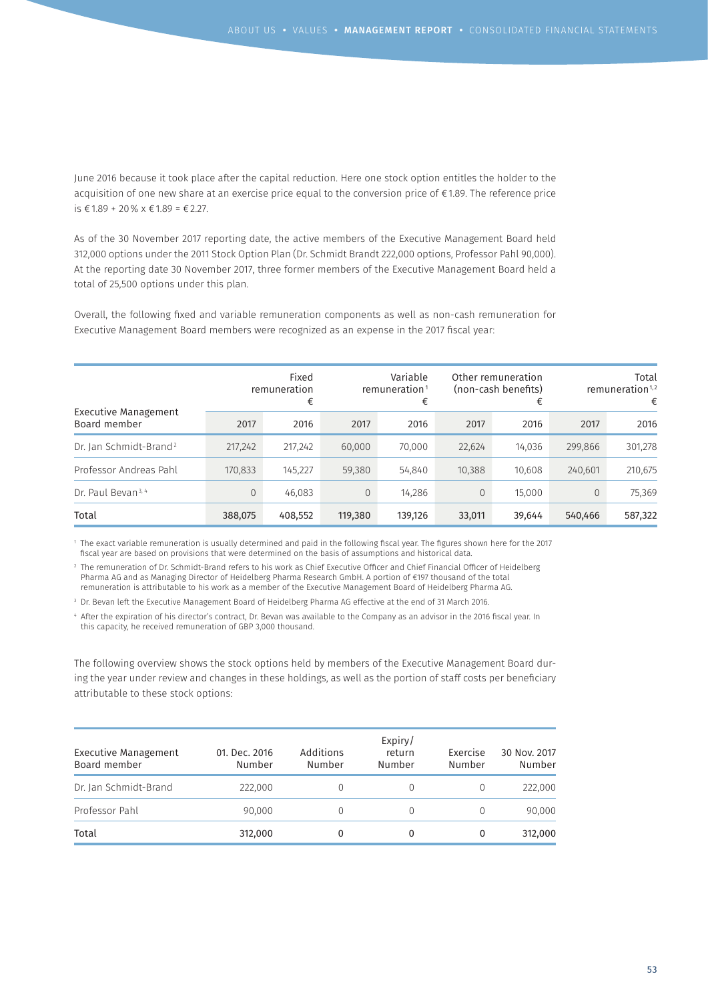June 2016 because it took place after the capital reduction. Here one stock option entitles the holder to the acquisition of one new share at an exercise price equal to the conversion price of €1.89. The reference price is €1.89 + 20% x €1.89 = €2.27.

As of the 30 November 2017 reporting date, the active members of the Executive Management Board held 312,000 options under the 2011 Stock Option Plan (Dr. Schmidt Brandt 222,000 options, Professor Pahl 90,000). At the reporting date 30 November 2017, three former members of the Executive Management Board held a total of 25,500 options under this plan.

Overall, the following fixed and variable remuneration components as well as non-cash remuneration for Executive Management Board members were recognized as an expense in the 2017 fiscal year:

| Executive Management<br>Board member | Fixed<br>remuneration<br>€ |         |                | Variable<br>remuneration <sup>1</sup><br>€ | Other remuneration<br>(non-cash benefits)<br>€ |        | Total<br>remuneration <sup>1,2</sup><br>€ |         |
|--------------------------------------|----------------------------|---------|----------------|--------------------------------------------|------------------------------------------------|--------|-------------------------------------------|---------|
|                                      | 2017                       | 2016    | 2017           | 2016                                       | 2017                                           | 2016   | 2017                                      | 2016    |
| Dr. Jan Schmidt-Brand <sup>2</sup>   | 217,242                    | 217,242 | 60,000         | 70,000                                     | 22,624                                         | 14,036 | 299,866                                   | 301,278 |
| Professor Andreas Pahl               | 170,833                    | 145,227 | 59,380         | 54,840                                     | 10,388                                         | 10,608 | 240,601                                   | 210,675 |
| Dr. Paul Bevan <sup>3, 4</sup>       | $\Omega$                   | 46,083  | $\overline{0}$ | 14,286                                     | $\overline{0}$                                 | 15,000 |                                           | 75,369  |
| Total                                | 388,075                    | 408,552 | 119,380        | 139,126                                    | 33,011                                         | 39,644 | 540,466                                   | 587,322 |

1 The exact variable remuneration is usually determined and paid in the following fiscal year. The figures shown here for the 2017 fiscal year are based on provisions that were determined on the basis of assumptions and historical data.

2 The remuneration of Dr. Schmidt-Brand refers to his work as Chief Executive Officer and Chief Financial Officer of Heidelberg Pharma AG and as Managing Director of Heidelberg Pharma Research GmbH. A portion of €197 thousand of the total remuneration is attributable to his work as a member of the Executive Management Board of Heidelberg Pharma AG.

3 Dr. Bevan left the Executive Management Board of Heidelberg Pharma AG effective at the end of 31 March 2016.

4 After the expiration of his director's contract, Dr. Bevan was available to the Company as an advisor in the 2016 fiscal year. In this capacity, he received remuneration of GBP 3,000 thousand.

The following overview shows the stock options held by members of the Executive Management Board during the year under review and changes in these holdings, as well as the portion of staff costs per beneficiary attributable to these stock options:

| <b>Executive Management</b><br>Board member | 01. Dec. 2016<br>Number | Additions<br>Number | Expiry/<br>return<br>Number | Exercise<br>Number | 30 Nov. 2017<br>Number |
|---------------------------------------------|-------------------------|---------------------|-----------------------------|--------------------|------------------------|
| Dr. Jan Schmidt-Brand                       | 222,000                 |                     | $\Omega$                    |                    | 222,000                |
| Professor Pahl                              | 90,000                  |                     | $\Omega$                    | $\Omega$           | 90,000                 |
| Total                                       | 312,000                 |                     | 0                           | 0                  | 312,000                |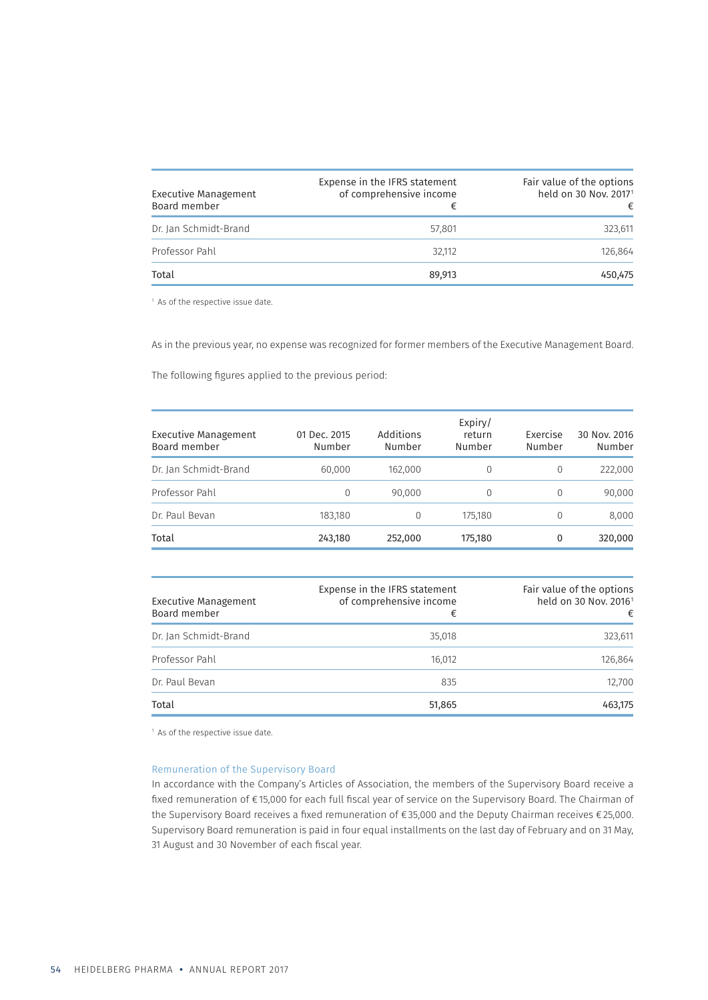| Executive Management<br>Board member | Expense in the IFRS statement<br>of comprehensive income<br>€ | Fair value of the options<br>held on 30 Nov. 2017 <sup>1</sup><br>€ |
|--------------------------------------|---------------------------------------------------------------|---------------------------------------------------------------------|
| Dr. Jan Schmidt-Brand                | 57.801                                                        | 323,611                                                             |
| Professor Pahl                       | 32.112                                                        | 126.864                                                             |
| Total                                | 89.913                                                        | 450,475                                                             |

<sup>1</sup> As of the respective issue date.

As in the previous year, no expense was recognized for former members of the Executive Management Board.

The following figures applied to the previous period:

| <b>Executive Management</b><br>Board member | 01 Dec. 2015<br>Number | Additions<br>Number | Expiry/<br>return<br>Number | Exercise<br>Number | 30 Nov. 2016<br>Number |
|---------------------------------------------|------------------------|---------------------|-----------------------------|--------------------|------------------------|
| Dr. Jan Schmidt-Brand                       | 60,000                 | 162,000             | 0                           | $\Omega$           | 222,000                |
| Professor Pahl                              | 0                      | 90.000              | 0                           | $\Omega$           | 90,000                 |
| Dr. Paul Bevan                              | 183,180                | $\Omega$            | 175,180                     | $\Omega$           | 8,000                  |
| Total                                       | 243,180                | 252,000             | 175,180                     | 0                  | 320,000                |

| <b>Executive Management</b><br>Board member | Expense in the IFRS statement<br>of comprehensive income<br>€ | Fair value of the options<br>held on 30 Nov. 2016 <sup>1</sup><br>€ |
|---------------------------------------------|---------------------------------------------------------------|---------------------------------------------------------------------|
| Dr. Jan Schmidt-Brand                       | 35,018                                                        | 323,611                                                             |
| Professor Pahl                              | 16,012                                                        | 126,864                                                             |
| Dr. Paul Bevan                              | 835                                                           | 12,700                                                              |
| Total                                       | 51,865                                                        | 463,175                                                             |

<sup>1</sup> As of the respective issue date.

## Remuneration of the Supervisory Board

In accordance with the Company's Articles of Association, the members of the Supervisory Board receive a fixed remuneration of €15,000 for each full fiscal year of service on the Supervisory Board. The Chairman of the Supervisory Board receives a fixed remuneration of €35,000 and the Deputy Chairman receives €25,000. Supervisory Board remuneration is paid in four equal installments on the last day of February and on 31 May, 31 August and 30 November of each fiscal year.